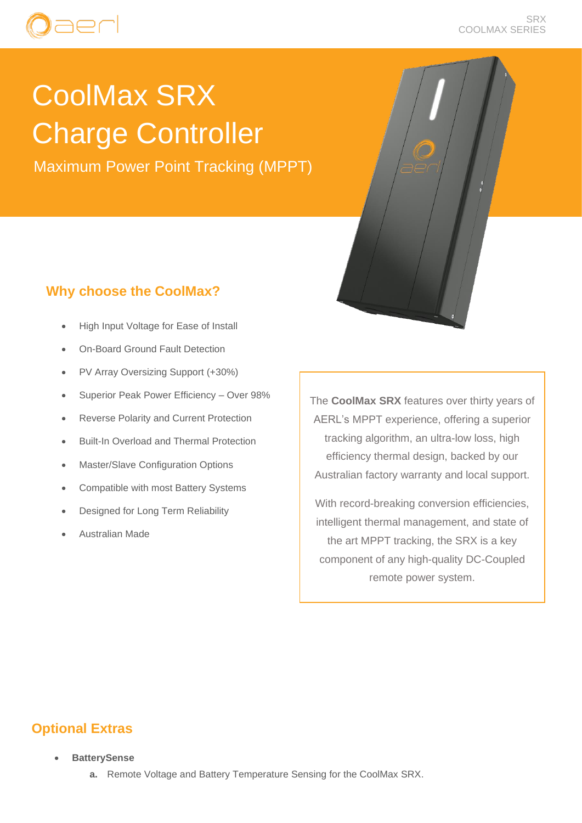## ADC

#### SRX COOLMAX SERIES

# CoolMax SRX Charge Controller

Maximum Power Point Tracking (MPPT)

## **Why choose the CoolMax?**

- High Input Voltage for Ease of Install
- On-Board Ground Fault Detection
- PV Array Oversizing Support (+30%)
- Superior Peak Power Efficiency Over 98%
- Reverse Polarity and Current Protection
- Built-In Overload and Thermal Protection
- Master/Slave Configuration Options
- Compatible with most Battery Systems
- Designed for Long Term Reliability
- Australian Made

The **CoolMax SRX** features over thirty years of AERL's MPPT experience, offering a superior tracking algorithm, an ultra-low loss, high efficiency thermal design, backed by our Australian factory warranty and local support.

With record-breaking conversion efficiencies, intelligent thermal management, and state of the art MPPT tracking, the SRX is a key component of any high-quality DC-Coupled remote power system.

### **Optional Extras**

- **BatterySense**
	- **a.** Remote Voltage and Battery Temperature Sensing for the CoolMax SRX.